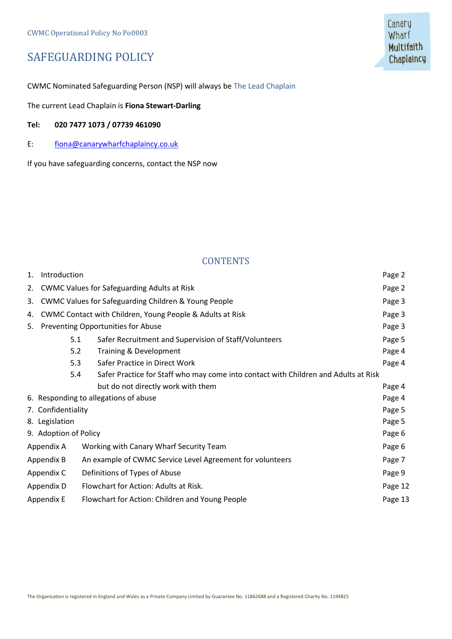## SAFEGUARDING POLICY

CWMC Nominated Safeguarding Person (NSP) will always be The Lead Chaplain

The current Lead Chaplain is **Fiona Stewart-Darling**

#### **Tel: 020 7477 1073 / 07739 461090**

E: [fiona@canarywharfchaplaincy.co.uk](mailto:fiona@canarywharfchaplaincy.co.uk)

If you have safeguarding concerns, contact the NSP now

## **CONTENTS**

| 1. | Introduction                       |                                                                                     | Page 2  |
|----|------------------------------------|-------------------------------------------------------------------------------------|---------|
| 2. |                                    | <b>CWMC Values for Safeguarding Adults at Risk</b>                                  | Page 2  |
| 3. |                                    | <b>CWMC Values for Safeguarding Children &amp; Young People</b>                     | Page 3  |
| 4. |                                    | CWMC Contact with Children, Young People & Adults at Risk                           | Page 3  |
| 5. | Preventing Opportunities for Abuse |                                                                                     | Page 3  |
|    | 5.1                                | Safer Recruitment and Supervision of Staff/Volunteers                               | Page 5  |
|    | 5.2                                | Training & Development                                                              | Page 4  |
|    | 5.3                                | Safer Practice in Direct Work                                                       | Page 4  |
|    | 5.4                                | Safer Practice for Staff who may come into contact with Children and Adults at Risk |         |
|    |                                    | but do not directly work with them                                                  | Page 4  |
|    |                                    | 6. Responding to allegations of abuse                                               | Page 4  |
|    | 7. Confidentiality                 |                                                                                     | Page 5  |
|    | 8. Legislation                     |                                                                                     | Page 5  |
|    | 9. Adoption of Policy              |                                                                                     | Page 6  |
|    | Appendix A                         | Working with Canary Wharf Security Team                                             | Page 6  |
|    | Appendix B                         | An example of CWMC Service Level Agreement for volunteers                           | Page 7  |
|    | Appendix C                         | Definitions of Types of Abuse                                                       | Page 9  |
|    | Appendix D                         | Flowchart for Action: Adults at Risk.                                               | Page 12 |
|    | Appendix E                         | Flowchart for Action: Children and Young People                                     | Page 13 |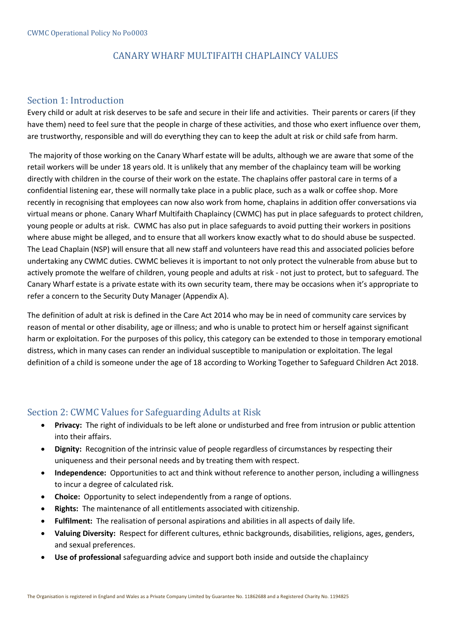## CANARY WHARF MULTIFAITH CHAPLAINCY VALUES

## Section 1: Introduction

Every child or adult at risk deserves to be safe and secure in their life and activities. Their parents or carers (if they have them) need to feel sure that the people in charge of these activities, and those who exert influence over them, are trustworthy, responsible and will do everything they can to keep the adult at risk or child safe from harm.

The majority of those working on the Canary Wharf estate will be adults, although we are aware that some of the retail workers will be under 18 years old. It is unlikely that any member of the chaplaincy team will be working directly with children in the course of their work on the estate. The chaplains offer pastoral care in terms of a confidential listening ear, these will normally take place in a public place, such as a walk or coffee shop. More recently in recognising that employees can now also work from home, chaplains in addition offer conversations via virtual means or phone. Canary Wharf Multifaith Chaplaincy (CWMC) has put in place safeguards to protect children, young people or adults at risk. CWMC has also put in place safeguards to avoid putting their workers in positions where abuse might be alleged, and to ensure that all workers know exactly what to do should abuse be suspected. The Lead Chaplain (NSP) will ensure that all new staff and volunteers have read this and associated policies before undertaking any CWMC duties. CWMC believes it is important to not only protect the vulnerable from abuse but to actively promote the welfare of children, young people and adults at risk - not just to protect, but to safeguard. The Canary Wharf estate is a private estate with its own security team, there may be occasions when it's appropriate to refer a concern to the Security Duty Manager (Appendix A).

The definition of adult at risk is defined in the Care Act 2014 who may be in need of community care services by reason of mental or other disability, age or illness; and who is unable to protect him or herself against significant harm or exploitation. For the purposes of this policy, this category can be extended to those in temporary emotional distress, which in many cases can render an individual susceptible to manipulation or exploitation. The legal definition of a child is someone under the age of 18 according to Working Together to Safeguard Children Act 2018.

## Section 2: CWMC Values for Safeguarding Adults at Risk

- **Privacy:** The right of individuals to be left alone or undisturbed and free from intrusion or public attention into their affairs.
- **Dignity:** Recognition of the intrinsic value of people regardless of circumstances by respecting their uniqueness and their personal needs and by treating them with respect.
- **Independence:** Opportunities to act and think without reference to another person, including a willingness to incur a degree of calculated risk.
- **Choice:** Opportunity to select independently from a range of options.
- **Rights:** The maintenance of all entitlements associated with citizenship.
- **Fulfilment:** The realisation of personal aspirations and abilities in all aspects of daily life.
- **Valuing Diversity:** Respect for different cultures, ethnic backgrounds, disabilities, religions, ages, genders, and sexual preferences.
- **Use of professional** safeguarding advice and support both inside and outside the chaplaincy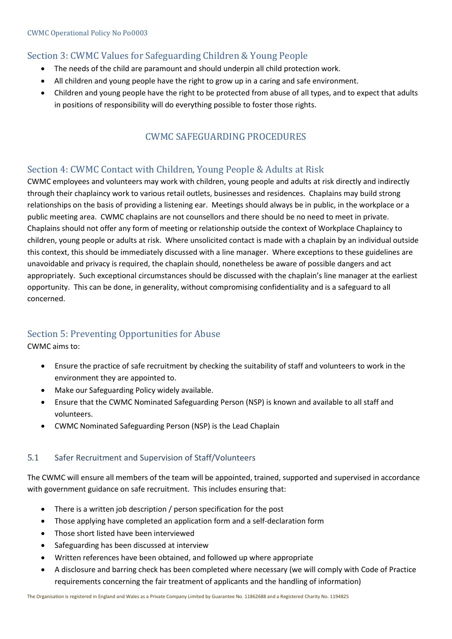## Section 3: CWMC Values for Safeguarding Children & Young People

- The needs of the child are paramount and should underpin all child protection work.
- All children and young people have the right to grow up in a caring and safe environment.
- Children and young people have the right to be protected from abuse of all types, and to expect that adults in positions of responsibility will do everything possible to foster those rights.

## CWMC SAFEGUARDING PROCEDURES

## Section 4: CWMC Contact with Children, Young People & Adults at Risk

CWMC employees and volunteers may work with children, young people and adults at risk directly and indirectly through their chaplaincy work to various retail outlets, businesses and residences. Chaplains may build strong relationships on the basis of providing a listening ear. Meetings should always be in public, in the workplace or a public meeting area. CWMC chaplains are not counsellors and there should be no need to meet in private. Chaplains should not offer any form of meeting or relationship outside the context of Workplace Chaplaincy to children, young people or adults at risk. Where unsolicited contact is made with a chaplain by an individual outside this context, this should be immediately discussed with a line manager. Where exceptions to these guidelines are unavoidable and privacy is required, the chaplain should, nonetheless be aware of possible dangers and act appropriately. Such exceptional circumstances should be discussed with the chaplain's line manager at the earliest opportunity. This can be done, in generality, without compromising confidentiality and is a safeguard to all concerned.

## Section 5: Preventing Opportunities for Abuse

CWMC aims to:

- Ensure the practice of safe recruitment by checking the suitability of staff and volunteers to work in the environment they are appointed to.
- Make our Safeguarding Policy widely available.
- Ensure that the CWMC Nominated Safeguarding Person (NSP) is known and available to all staff and volunteers.
- CWMC Nominated Safeguarding Person (NSP) is the Lead Chaplain

#### 5.1 Safer Recruitment and Supervision of Staff/Volunteers

The CWMC will ensure all members of the team will be appointed, trained, supported and supervised in accordance with government guidance on safe recruitment. This includes ensuring that:

- There is a written job description / person specification for the post
- Those applying have completed an application form and a self-declaration form
- Those short listed have been interviewed
- Safeguarding has been discussed at interview
- Written references have been obtained, and followed up where appropriate
- A disclosure and barring check has been completed where necessary (we will comply with Code of Practice requirements concerning the fair treatment of applicants and the handling of information)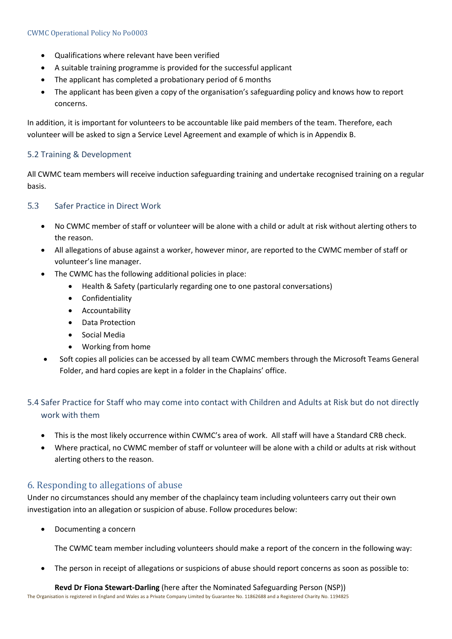- Qualifications where relevant have been verified
- A suitable training programme is provided for the successful applicant
- The applicant has completed a probationary period of 6 months
- The applicant has been given a copy of the organisation's safeguarding policy and knows how to report concerns.

In addition, it is important for volunteers to be accountable like paid members of the team. Therefore, each volunteer will be asked to sign a Service Level Agreement and example of which is in Appendix B.

## 5.2 Training & Development

All CWMC team members will receive induction safeguarding training and undertake recognised training on a regular basis.

#### 5.3 Safer Practice in Direct Work

- No CWMC member of staff or volunteer will be alone with a child or adult at risk without alerting others to the reason.
- All allegations of abuse against a worker, however minor, are reported to the CWMC member of staff or volunteer's line manager.
- The CWMC has the following additional policies in place:
	- Health & Safety (particularly regarding one to one pastoral conversations)
	- Confidentiality
	- Accountability
	- Data Protection
	- Social Media
	- Working from home
- Soft copies all policies can be accessed by all team CWMC members through the Microsoft Teams General Folder, and hard copies are kept in a folder in the Chaplains' office.

## 5.4 Safer Practice for Staff who may come into contact with Children and Adults at Risk but do not directly work with them

- This is the most likely occurrence within CWMC's area of work. All staff will have a Standard CRB check.
- Where practical, no CWMC member of staff or volunteer will be alone with a child or adults at risk without alerting others to the reason.

## 6. Responding to allegations of abuse

Under no circumstances should any member of the chaplaincy team including volunteers carry out their own investigation into an allegation or suspicion of abuse. Follow procedures below:

• Documenting a concern

The CWMC team member including volunteers should make a report of the concern in the following way:

• The person in receipt of allegations or suspicions of abuse should report concerns as soon as possible to:

The Organisation is registered in England and Wales as a Private Company Limited by Guarantee No. 11862688 and a Registered Charity No. 1194825 **Revd Dr Fiona Stewart-Darling** (here after the Nominated Safeguarding Person (NSP))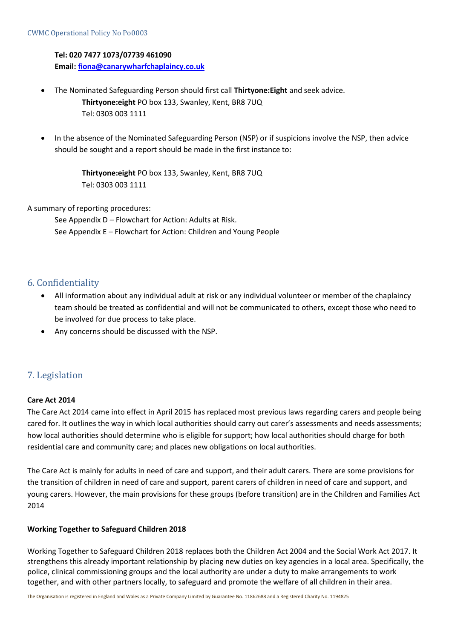#### **Tel: 020 7477 1073/07739 461090**

**Email[: fiona@canarywharfchaplaincy.co.uk](mailto:fiona@canarywharfchaplaincy.co.uk)**

- The Nominated Safeguarding Person should first call **Thirtyone:Eight** and seek advice. **Thirtyone:eight** PO box 133, Swanley, Kent, BR8 7UQ Tel: 0303 003 1111
- In the absence of the Nominated Safeguarding Person (NSP) or if suspicions involve the NSP, then advice should be sought and a report should be made in the first instance to:

**Thirtyone:eight** PO box 133, Swanley, Kent, BR8 7UQ Tel: 0303 003 1111

#### A summary of reporting procedures:

See Appendix D – Flowchart for Action: Adults at Risk. See Appendix E – Flowchart for Action: Children and Young People

## 6. Confidentiality

- All information about any individual adult at risk or any individual volunteer or member of the chaplaincy team should be treated as confidential and will not be communicated to others, except those who need to be involved for due process to take place.
- Any concerns should be discussed with the NSP.

## 7. Legislation

#### **Care Act 2014**

The Care Act 2014 came into effect in April 2015 has replaced most previous laws regarding carers and people being cared for. It outlines the way in which local authorities should carry out carer's assessments and needs assessments; how local authorities should determine who is eligible for support; how local authorities should charge for both residential care and community care; and places new obligations on local authorities.

The Care Act is mainly for adults in need of care and support, and their adult carers. There are some provisions for the transition of children in need of care and support, parent carers of children in need of care and support, and young carers. However, the main provisions for these groups (before transition) are in the Children and Families Act 2014

#### **Working Together to Safeguard Children 2018**

Working Together to Safeguard Children 2018 replaces both the Children Act 2004 and the Social Work Act 2017. It strengthens this already important relationship by placing new duties on key agencies in a local area. Specifically, the police, clinical commissioning groups and the local authority are under a duty to make arrangements to work together, and with other partners locally, to safeguard and promote the welfare of all children in their area.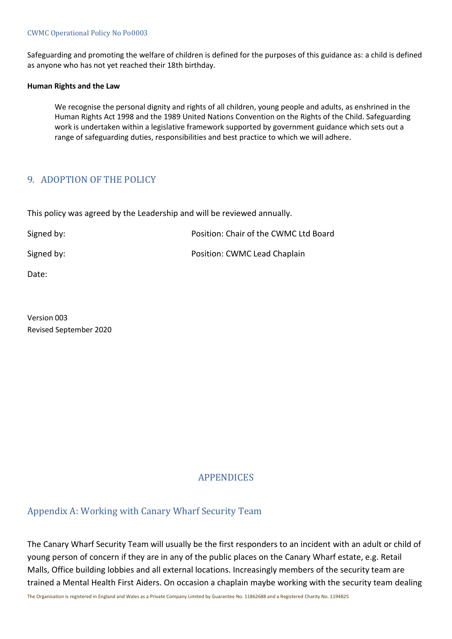#### CWMC Operational Policy No Po0003

Safeguarding and promoting the welfare of children is defined for the purposes of this guidance as: a child is defined as anyone who has not yet reached their 18th birthday.

#### **Human Rights and the Law**

We recognise the personal dignity and rights of all children, young people and adults, as enshrined in the Human Rights Act 1998 and the 1989 United Nations Convention on the Rights of the Child. Safeguarding work is undertaken within a legislative framework supported by government guidance which sets out a range of safeguarding duties, responsibilities and best practice to which we will adhere.

## 9. ADOPTION OF THE POLICY

This policy was agreed by the Leadership and will be reviewed annually.

| Signed by: | Position: Chair of the CWMC Ltd Board |
|------------|---------------------------------------|
| Signed by: | Position: CWMC Lead Chaplain          |

Date:

Version 003 Revised September 2020

#### APPENDICES

## Appendix A: Working with Canary Wharf Security Team

The Canary Wharf Security Team will usually be the first responders to an incident with an adult or child of young person of concern if they are in any of the public places on the Canary Wharf estate, e.g. Retail Malls, Office building lobbies and all external locations. Increasingly members of the security team are trained a Mental Health First Aiders. On occasion a chaplain maybe working with the security team dealing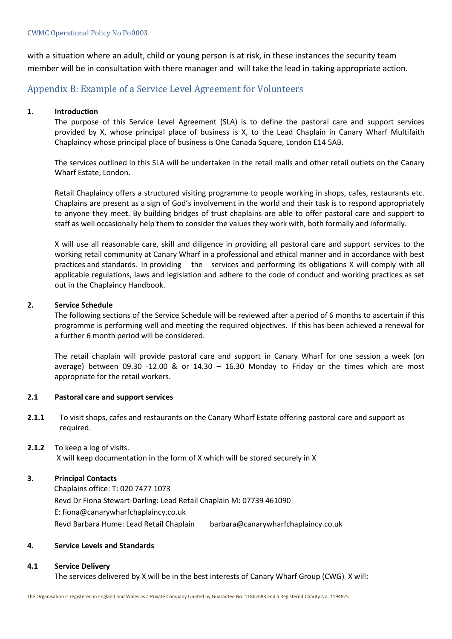with a situation where an adult, child or young person is at risk, in these instances the security team member will be in consultation with there manager and will take the lead in taking appropriate action.

## Appendix B: Example of a Service Level Agreement for Volunteers

#### **1. Introduction**

The purpose of this Service Level Agreement (SLA) is to define the pastoral care and support services provided by X, whose principal place of business is X, to the Lead Chaplain in Canary Wharf Multifaith Chaplaincy whose principal place of business is One Canada Square, London E14 5AB.

The services outlined in this SLA will be undertaken in the retail malls and other retail outlets on the Canary Wharf Estate, London.

Retail Chaplaincy offers a structured visiting programme to people working in shops, cafes, restaurants etc. Chaplains are present as a sign of God's involvement in the world and their task is to respond appropriately to anyone they meet. By building bridges of trust chaplains are able to offer pastoral care and support to staff as well occasionally help them to consider the values they work with, both formally and informally.

X will use all reasonable care, skill and diligence in providing all pastoral care and support services to the working retail community at Canary Wharf in a professional and ethical manner and in accordance with best practices and standards. In providing the services and performing its obligations X will comply with all applicable regulations, laws and legislation and adhere to the code of conduct and working practices as set out in the Chaplaincy Handbook.

#### **2. Service Schedule**

The following sections of the Service Schedule will be reviewed after a period of 6 months to ascertain if this programme is performing well and meeting the required objectives. If this has been achieved a renewal for a further 6 month period will be considered.

The retail chaplain will provide pastoral care and support in Canary Wharf for one session a week (on average) between 09.30 -12.00 & or 14.30 – 16.30 Monday to Friday or the times which are most appropriate for the retail workers.

#### **2.1 Pastoral care and support services**

- **2.1.1** To visit shops, cafes and restaurants on the Canary Wharf Estate offering pastoral care and support as required.
- **2.1.2** To keep a log of visits. X will keep documentation in the form of X which will be stored securely in X

#### **3. Principal Contacts**

Chaplains office: T: 020 7477 1073 Revd Dr Fiona Stewart-Darling: Lead Retail Chaplain M: 07739 461090 E: fiona@canarywharfchaplaincy.co.uk Revd Barbara Hume: Lead Retail Chaplain barbara@canarywharfchaplaincy.co.uk

#### **4. Service Levels and Standards**

#### **4.1 Service Delivery**

The services delivered by X will be in the best interests of Canary Wharf Group (CWG) X will: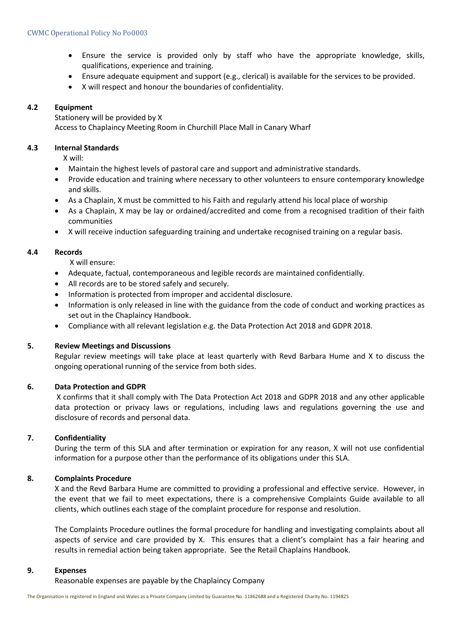- Ensure the service is provided only by staff who have the appropriate knowledge, skills, qualifications, experience and training.
- Ensure adequate equipment and support (e.g., clerical) is available for the services to be provided.
- X will respect and honour the boundaries of confidentiality.

#### **4.2 Equipment**

Stationery will be provided by X Access to Chaplaincy Meeting Room in Churchill Place Mall in Canary Wharf

#### **4.3 Internal Standards**

X will:

- Maintain the highest levels of pastoral care and support and administrative standards.
- Provide education and training where necessary to other volunteers to ensure contemporary knowledge and skills.
- As a Chaplain, X must be committed to his Faith and regularly attend his local place of worship
- As a Chaplain, X may be lay or ordained/accredited and come from a recognised tradition of their faith communities
- X will receive induction safeguarding training and undertake recognised training on a regular basis.

#### **4.4 Records**

X will ensure:

- Adequate, factual, contemporaneous and legible records are maintained confidentially.
- All records are to be stored safely and securely.
- Information is protected from improper and accidental disclosure.
- Information is only released in line with the guidance from the code of conduct and working practices as set out in the Chaplaincy Handbook.
- Compliance with all relevant legislation e.g. the Data Protection Act 2018 and GDPR 2018.

#### **5. Review Meetings and Discussions**

Regular review meetings will take place at least quarterly with Revd Barbara Hume and X to discuss the ongoing operational running of the service from both sides.

#### **6. Data Protection and GDPR**

X confirms that it shall comply with The Data Protection Act 2018 and GDPR 2018 and any other applicable data protection or privacy laws or regulations, including laws and regulations governing the use and disclosure of records and personal data.

#### **7. Confidentiality**

During the term of this SLA and after termination or expiration for any reason, X will not use confidential information for a purpose other than the performance of its obligations under this SLA.

#### **8. Complaints Procedure**

X and the Revd Barbara Hume are committed to providing a professional and effective service. However, in the event that we fail to meet expectations, there is a comprehensive Complaints Guide available to all clients, which outlines each stage of the complaint procedure for response and resolution.

The Complaints Procedure outlines the formal procedure for handling and investigating complaints about all aspects of service and care provided by X. This ensures that a client's complaint has a fair hearing and results in remedial action being taken appropriate. See the Retail Chaplains Handbook.

#### **9. Expenses**

Reasonable expenses are payable by the Chaplaincy Company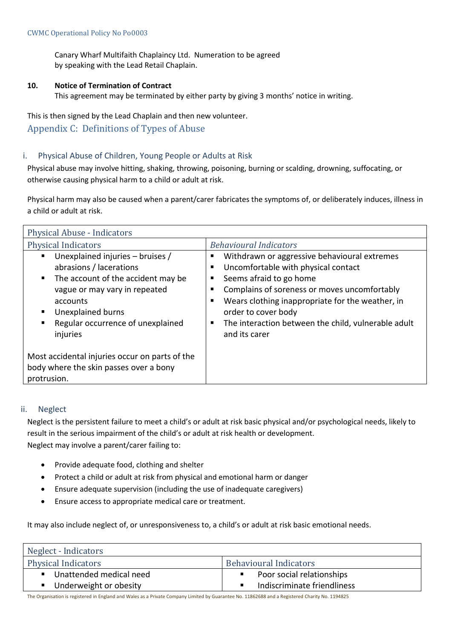Canary Wharf Multifaith Chaplaincy Ltd. Numeration to be agreed by speaking with the Lead Retail Chaplain.

#### **10. Notice of Termination of Contract**

This agreement may be terminated by either party by giving 3 months' notice in writing.

This is then signed by the Lead Chaplain and then new volunteer. Appendix C: Definitions of Types of Abuse

#### i. Physical Abuse of Children, Young People or Adults at Risk

Physical abuse may involve hitting, shaking, throwing, poisoning, burning or scalding, drowning, suffocating, or otherwise causing physical harm to a child or adult at risk.

Physical harm may also be caused when a parent/carer fabricates the symptoms of, or deliberately induces, illness in a child or adult at risk.

| Physical Abuse - Indicators                                                                                                                                                                                                                      |                                                                                                                                                                                                                                                                                                                   |  |  |
|--------------------------------------------------------------------------------------------------------------------------------------------------------------------------------------------------------------------------------------------------|-------------------------------------------------------------------------------------------------------------------------------------------------------------------------------------------------------------------------------------------------------------------------------------------------------------------|--|--|
| <b>Physical Indicators</b>                                                                                                                                                                                                                       | <b>Behavioural Indicators</b>                                                                                                                                                                                                                                                                                     |  |  |
| Unexplained injuries - bruises /<br>٠<br>abrasions / lacerations<br>The account of the accident may be<br>п.<br>vague or may vary in repeated<br>accounts<br><b>Unexplained burns</b><br>٠<br>Regular occurrence of unexplained<br>٠<br>injuries | Withdrawn or aggressive behavioural extremes<br>Uncomfortable with physical contact<br>Seems afraid to go home<br>Complains of soreness or moves uncomfortably<br>Wears clothing inappropriate for the weather, in<br>order to cover body<br>The interaction between the child, vulnerable adult<br>and its carer |  |  |
| Most accidental injuries occur on parts of the<br>body where the skin passes over a bony<br>protrusion.                                                                                                                                          |                                                                                                                                                                                                                                                                                                                   |  |  |

#### ii. Neglect

Neglect is the persistent failure to meet a child's or adult at risk basic physical and/or psychological needs, likely to result in the serious impairment of the child's or adult at risk health or development. Neglect may involve a parent/carer failing to:

- Provide adequate food, clothing and shelter
- Protect a child or adult at risk from physical and emotional harm or danger
- Ensure adequate supervision (including the use of inadequate caregivers)
- Ensure access to appropriate medical care or treatment.

It may also include neglect of, or unresponsiveness to, a child's or adult at risk basic emotional needs.

| Neglect - Indicators       |                               |  |
|----------------------------|-------------------------------|--|
| <b>Physical Indicators</b> | <b>Behavioural Indicators</b> |  |
| ■ Unattended medical need  | Poor social relationships     |  |
| ■ Underweight or obesity   | Indiscriminate friendliness   |  |

The Organisation is registered in England and Wales as a Private Company Limited by Guarantee No. 11862688 and a Registered Charity No. 1194825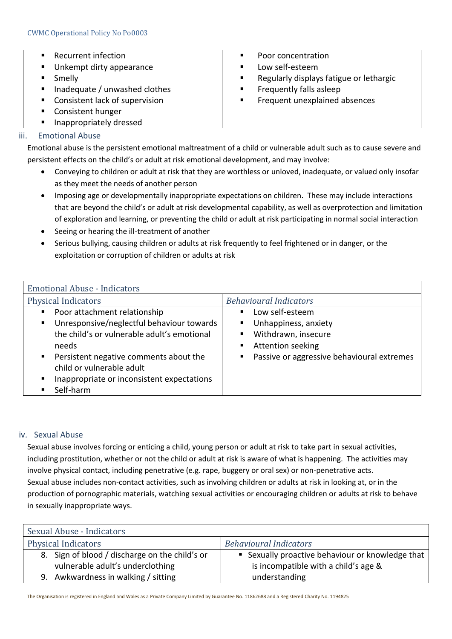|                | Recurrent infection                          | п | Poor concentration                      |
|----------------|----------------------------------------------|---|-----------------------------------------|
| $\blacksquare$ | Unkempt dirty appearance                     | п | Low self-esteem                         |
|                | Smelly                                       | п | Regularly displays fatigue or lethargic |
|                | $\blacksquare$ Inadequate / unwashed clothes | п | Frequently falls asleep                 |
|                | ■ Consistent lack of supervision             | ٠ | Frequent unexplained absences           |
|                | Consistent hunger                            |   |                                         |

■ Inappropriately dressed

#### iii. Emotional Abuse

Emotional abuse is the persistent emotional maltreatment of a child or vulnerable adult such as to cause severe and persistent effects on the child's or adult at risk emotional development, and may involve:

- Conveying to children or adult at risk that they are worthless or unloved, inadequate, or valued only insofar as they meet the needs of another person
- Imposing age or developmentally inappropriate expectations on children. These may include interactions that are beyond the child's or adult at risk developmental capability, as well as overprotection and limitation of exploration and learning, or preventing the child or adult at risk participating in normal social interaction
- Seeing or hearing the ill-treatment of another
- Serious bullying, causing children or adults at risk frequently to feel frightened or in danger, or the exploitation or corruption of children or adults at risk

| <b>Emotional Abuse - Indicators</b>                                                                                                                    |  |  |
|--------------------------------------------------------------------------------------------------------------------------------------------------------|--|--|
| <b>Behavioural Indicators</b>                                                                                                                          |  |  |
| Low self-esteem<br>٠<br>Unhappiness, anxiety<br>Withdrawn, insecure<br>٠<br>Attention seeking<br>п,<br>Passive or aggressive behavioural extremes<br>п |  |  |
|                                                                                                                                                        |  |  |

#### iv. Sexual Abuse

Sexual abuse involves forcing or enticing a child, young person or adult at risk to take part in sexual activities, including prostitution, whether or not the child or adult at risk is aware of what is happening. The activities may involve physical contact, including penetrative (e.g. rape, buggery or oral sex) or non-penetrative acts. Sexual abuse includes non-contact activities, such as involving children or adults at risk in looking at, or in the production of pornographic materials, watching sexual activities or encouraging children or adults at risk to behave in sexually inappropriate ways.

| Sexual Abuse - Indicators                                                          |                                                                                          |  |
|------------------------------------------------------------------------------------|------------------------------------------------------------------------------------------|--|
| <b>Physical Indicators</b>                                                         | <b>Behavioural Indicators</b>                                                            |  |
| 8. Sign of blood / discharge on the child's or<br>vulnerable adult's underclothing | ■ Sexually proactive behaviour or knowledge that<br>is incompatible with a child's age & |  |
| 9. Awkwardness in walking / sitting                                                | understanding                                                                            |  |

The Organisation is registered in England and Wales as a Private Company Limited by Guarantee No. 11862688 and a Registered Charity No. 1194825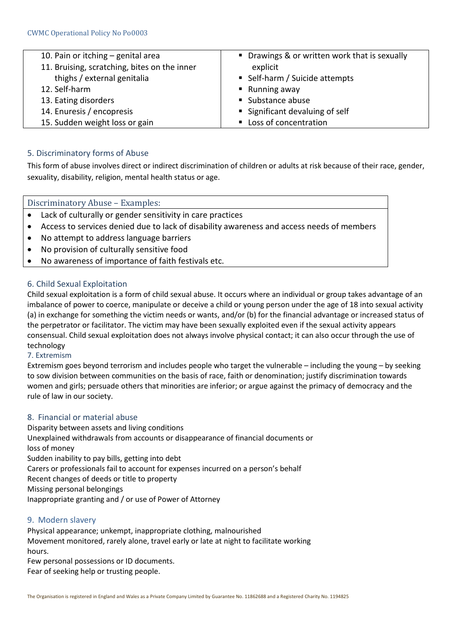| 10. Pain or itching $-$ genital area         | • Drawings & or written work that is sexually |
|----------------------------------------------|-----------------------------------------------|
| 11. Bruising, scratching, bites on the inner | explicit                                      |
| thighs / external genitalia                  | ■ Self-harm / Suicide attempts                |
| 12. Self-harm                                | $\blacksquare$ Running away                   |
| 13. Eating disorders                         | ■ Substance abuse                             |
| 14. Enuresis / encopresis                    | ■ Significant devaluing of self               |
| 15. Sudden weight loss or gain               | Loss of concentration                         |

#### 5. Discriminatory forms of Abuse

This form of abuse involves direct or indirect discrimination of children or adults at risk because of their race, gender, sexuality, disability, religion, mental health status or age.

#### Discriminatory Abuse – Examples:

- Lack of culturally or gender sensitivity in care practices
- Access to services denied due to lack of disability awareness and access needs of members
- No attempt to address language barriers
- No provision of culturally sensitive food
- No awareness of importance of faith festivals etc.

#### 6. Child Sexual Exploitation

Child sexual exploitation is a form of child sexual abuse. It occurs where an individual or group takes advantage of an imbalance of power to coerce, manipulate or deceive a child or young person under the age of 18 into sexual activity (a) in exchange for something the victim needs or wants, and/or (b) for the financial advantage or increased status of the perpetrator or facilitator. The victim may have been sexually exploited even if the sexual activity appears consensual. Child sexual exploitation does not always involve physical contact; it can also occur through the use of technology

#### 7. Extremism

Extremism goes beyond terrorism and includes people who target the vulnerable – including the young – by seeking to sow division between communities on the basis of race, faith or denomination; justify discrimination towards women and girls; persuade others that minorities are inferior; or argue against the primacy of democracy and the rule of law in our society.

#### 8. Financial or material abuse

Disparity between assets and living conditions Unexplained withdrawals from accounts or disappearance of financial documents or loss of money Sudden inability to pay bills, getting into debt Carers or professionals fail to account for expenses incurred on a person's behalf Recent changes of deeds or title to property Missing personal belongings Inappropriate granting and / or use of Power of Attorney

#### 9. Modern slavery

Physical appearance; unkempt, inappropriate clothing, malnourished Movement monitored, rarely alone, travel early or late at night to facilitate working hours.

Few personal possessions or ID documents. Fear of seeking help or trusting people.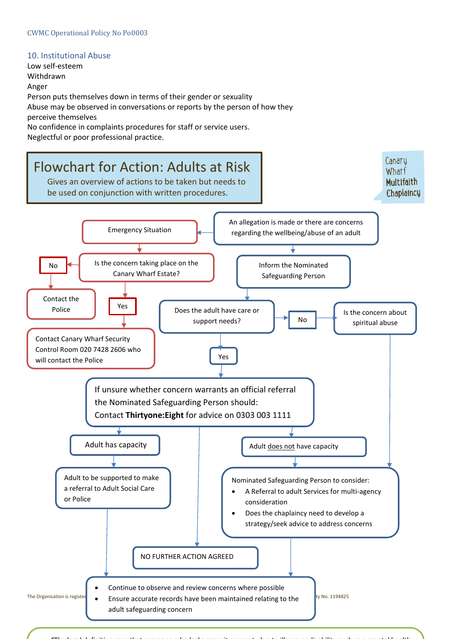## 10. Institutional Abuse

Low self-esteem Withdrawn Anger Person puts themselves down in terms of their gender or sexuality Abuse may be observed in conversations or reports by the person of how they perceive themselves No confidence in complaints procedures for staff or service users.

Neglectful or poor professional practice.



"The legal definition says that someone who lacks capacity cannot, due to illness or disability such as a mental health